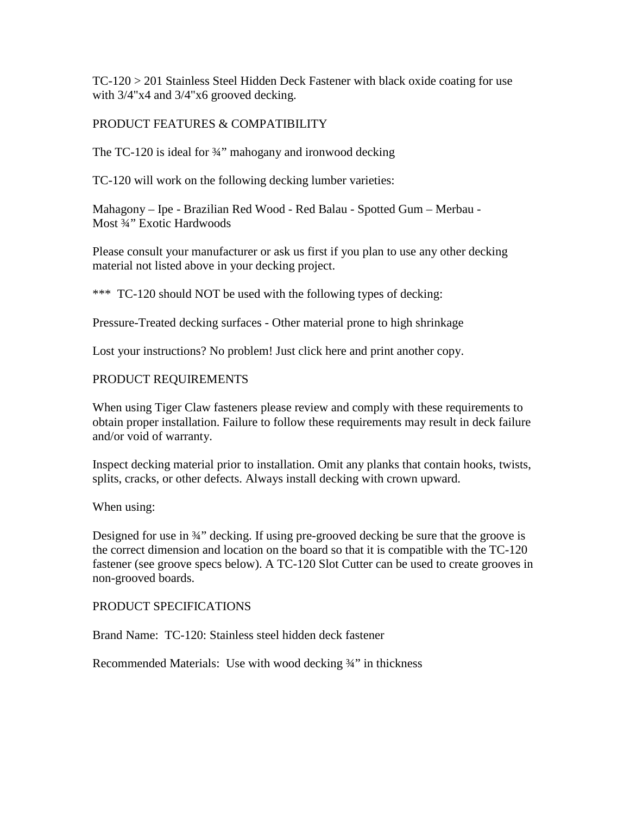TC-120 > 201 Stainless Steel Hidden Deck Fastener with black oxide coating for use with  $3/4$ "x4 and  $3/4$ "x6 grooved decking.

## PRODUCT FEATURES & COMPATIBILITY

The TC-120 is ideal for <sup>3</sup>/4" mahogany and ironwood decking

TC-120 will work on the following decking lumber varieties:

Mahagony – Ipe - Brazilian Red Wood - Red Balau - Spotted Gum – Merbau - Most <sup>3</sup>/<sub>4</sub><sup>2</sup> Exotic Hardwoods

Please consult your manufacturer or ask us first if you plan to use any other decking material not listed above in your decking project.

\*\*\* TC-120 should NOT be used with the following types of decking:

Pressure-Treated decking surfaces - Other material prone to high shrinkage

Lost your instructions? No problem! Just click here and print another copy.

## PRODUCT REQUIREMENTS

When using Tiger Claw fasteners please review and comply with these requirements to obtain proper installation. Failure to follow these requirements may result in deck failure and/or void of warranty.

Inspect decking material prior to installation. Omit any planks that contain hooks, twists, splits, cracks, or other defects. Always install decking with crown upward.

When using:

Designed for use in 34" decking. If using pre-grooved decking be sure that the groove is the correct dimension and location on the board so that it is compatible with the TC-120 fastener (see groove specs below). A TC-120 Slot Cutter can be used to create grooves in non-grooved boards.

## PRODUCT SPECIFICATIONS

Brand Name: TC-120: Stainless steel hidden deck fastener

Recommended Materials: Use with wood decking ¾" in thickness